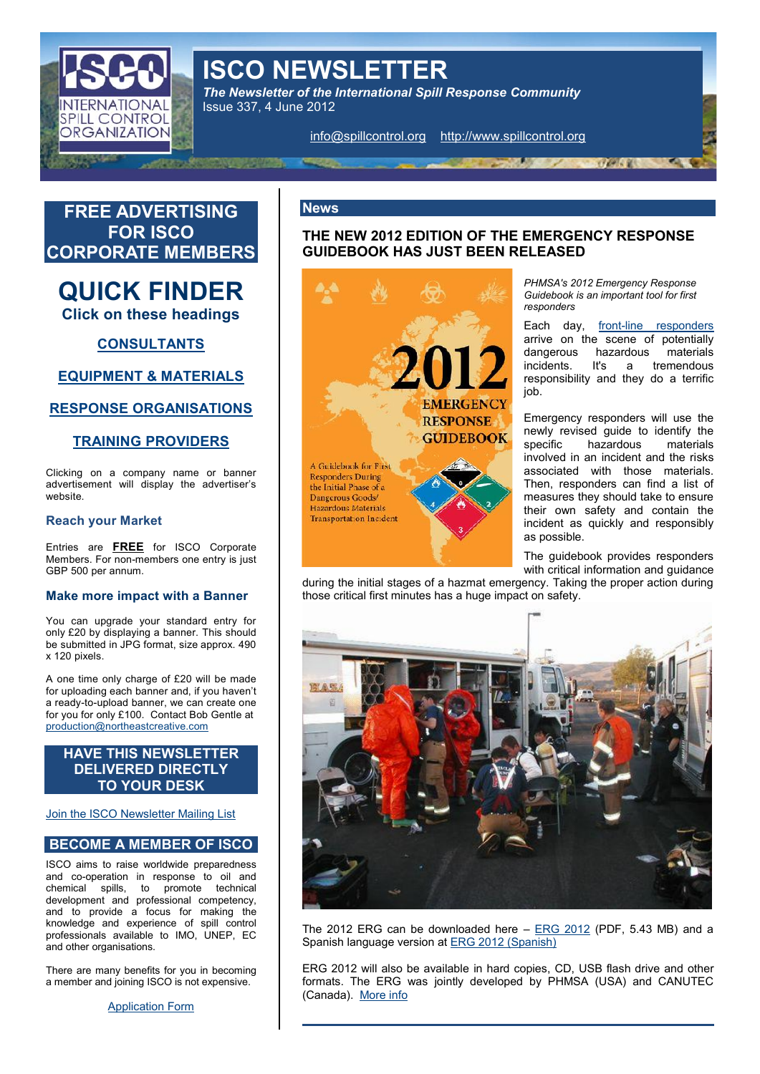# ISCO NEWSLETTER

The Newsletter of the International Spill Response Con Issue 337, 4 June 2012

[info@spillcon](mailto:info@spillcontrol.org)thdtpardwww.spilrgontrol.o



[Join the ISCO Newslett](http://www.spillcontrol.org/list.html)er Mailing List

# BECOME A MEMBER

ISCO aims to raise worldwide preparedness and coperation in response to oil and chemical sspillo promote technical development and professional competency, and to provide a focus for making the knowledge and expoerisepnide control professionals available to IMO, UNEP, EC and other organisations. The 2012 ERG can be down<u>lionaGed</u>Oh(@rDeF, 5.43aMdB)a. 'Sрапіsh language <u>ERG ið 6 12t (S</u>panish)

There are many benefits for yoµ inEl‱ReGeo2n.0|ମିଙ୍କୁ will also bion ahvaardladodpQbiDbJSB flash admrdvoether a member and joining ISCO is not efxoprematinGene. ERG wynaisntly developp PehHMSA (USA) and CAN

[Applicatio](http://www.spillcontrol.org/Joomla/index.php?option=com_content&task=view&id=21&Itemid=35)n Form

(Canadalore info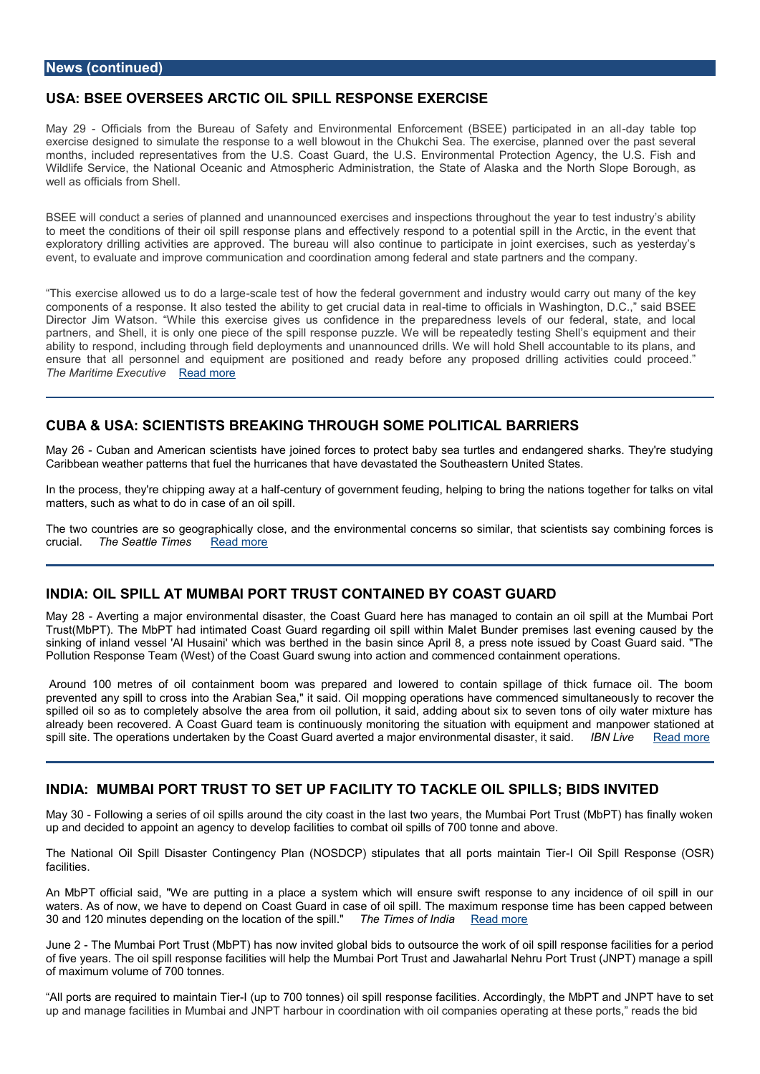# USA: BSEE OVER**BGEES** AOIL SPILLON RESPEXERCISE

May 2-9Officials from the Bureau of Safety and Environmental Enforcedmegnta $\beta$ BeSEEp particle to  $\alpha$ exercise designe**d** t $e$ ot bemudsponse to a well blowout in the Chukchi Sea. The exercise, months, included representatives from the U.S. Coast Guard, the U.S. Environmental Wildlife Service, the Nation chal A Onceani heric Administration, the State of Alaska and the well as officials from Shell.

BSEE will conduct a series of planned and unannounced exercises and inspections thre to meet the ditions of their oil spill response plans and effectively respond to a potent exploratory drilling activities are approved. The bureau will also continue to particip evet, to evaluate and improve communication and coordination among federal and state

This exercise allowed ussctabled cteast laorfghow the federal government and industry would components of naseresipoalso tested the ability to gteimertucial ficca adsinin relation gton, D.C., Director Jim Watson. While this exercise gives us confidence in the preparedness partners, and is hell, it included of the spill response puzzle. We will be repeatedly te ability to respond, including through field deployments and unannounced drills. We wi ensure that amin pelers od equipment are positioned and ready before any proposed dril The Maritime ExeRcuatdivenore

### CUBA & USA: SCIENSTRISTATS IN G THROUGEHPSOLMETICAL BARRIERS

May 26 uban and American scientists have joined forces to protect baby sea turtles a Caribbean weather patterns that fuel the hurred calmes Soluah chas the United States.

In the process, they're chippionegn tauw a yo a tge vlean himent feuding, helping to bring the nations to talke matters, such as what to do in case of an oil spill.

The two countries are his coally controase, and the environmental concerns so similar, that se crucialThe Seattle Times ad more

# INDIA: **SPULL AT MUMBAITROBT CONTAINEDABY GUARD**

May 28 verting a major environmental disaster, the Coast Guard here has managed to Trust(MbPT). The MbPT had intimated Coast Guarderte ganddieng poriel msips iels was hine vMelaing ca sinking of inland vessel 'Al Husaini' which was berthed in the basin since April 8, a press note is not Guard said. Pollution Response Team (West) of the Coast Guard swolung into machito open alticoms mence

Around 100 metres of oil containment boom was prepared and lowered to contain : prevented any spill to cross into the Arabian Sea," it said. Oil mopping yopce mations rhtan spilled oil so as to completely absolve the area from oil pollution, it said, adding abo already been recovered. A Coast Guard team is continuously monitronaim go theer ssittatia binond spill site. The operations undertaken by the Coast Guard averted al BnNajloin enverted on mreenta

### IN DIAM UMBAI PORT TRUSSETT TUOP FA CILITTANC RIDE OIL SPILDLSS IN BYITED

May  $36$  ollowing a series of oil spills around the city coast in the last two years, the M up and decided to a appopency to develop facilities to combat oil spills of 700 tonne and a

The National Oil Sionil CoDrisiansgency OPSIBIGP() stipulates that all polrtGailm SapritlainRessipoem se ( facilities.

An MbPT official said, "Whe aanpelapcuettain gystem which will ensure swift response to any waters. As of now, we have to depend on Coast Guard in case of oil spill. The maximu 30 and 120 minutes depending oof nihte espiblication es of Rhedaid more

June - 2 The Mumbai Port Trust (MbPT) has now invitedheglwobalk bifd silt osponult sroeus poccents e facilit of five years. The oil spill response facilities will help the Mumbai Port Trust and Jawaharlal News, and Jawaharlal Ne of maximum volume of 700 tonnes.

All ports are required Tt+br (muapintoa 700 tonnes) oil spill response facilities. Accordingly, up and manage facilities in Mumbai and JNPT harbour in coordination with oil companie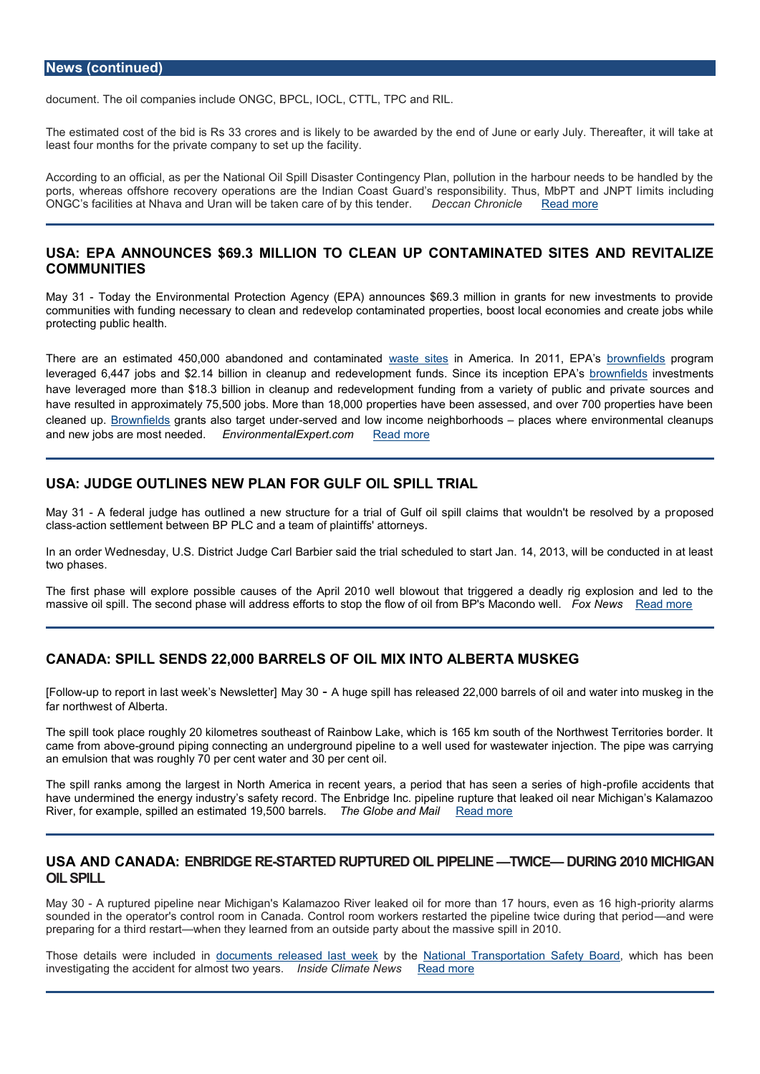### News (continued)

documenthe oil companies include ONGC, BPCL, IOCL, CTTL, TPC and RIL.

The estimated cost of the bid interest Resideris likely to be awarded by the end of June or early least four months for the private  $c \phi$  anopiainty. to set up the

According to an official, as per the National Oil Spill Disaster Contingency Plan, pollu ports, whereas offshore recovery operations are the Indian Coast Guard mstses modulationic ONGC s facilities at Nhava and Uran will be takDeenc**can**e Confrobronicle and theonrober.

# USAEPA ANNOUNCESMSSBION TO CLEGONUTAMINATED SNIDERSEAITALIZE COMMUNITIES

May 3Today the Environmental Protection Agency (EPA) announces \$69.3 million in communities with funding necessead pevelocope and mand inated properties, boost local economies and create in protecting public health.

There are an estimated 450,000 abandonweals taen obsitmes and americanted in 2015 to wEnPiAepts of egram leveraged 6,447 jobs and \$2.14 billion in cleanup ants riendceevpellopmbEeBhwtnfsüeibhdsseeSStimeentsi have leveraged more than \$18.3 billion in cleanup and redevelopment feunsobion gcefso annel have resulted in approximately 75,500 jobs. More than 18,000 properties have been as cleaned Burpownfiel**g**is ants also targspetr vuendd earnd low income nei**g heb**ocershowohdes re environmental and new jobs are mos Emvedend mediatel Expert Roecend more

# USA: JUDGE OUTNEMERLAN FOR GUSPIOL TRIAL

May 31A federal judge has outlined a new structure for a trial of Gulf oil spoid b soddims clas action settlement between BP PLC and a team of plaintiffs' attorneys.

In an order Wednesday, U.S. District Judge Carl Barbier said the trial scheduled to sta two phases.

The first phase weilpoes spible causes of the April 2010 well blowout that triggered a deadly massive oil spill. The second phase will address efforts to stop Flow New Reador informem BP

### CANAD SPILL SENDS 22, FORDELS OF OIL TIMIX LIBUER TA MUSKEG

[Follow op to prort in last week s Mag w 30 - Up thoughe spill has released 22,000 D whater relato from uilskaeg i far northwest of Alberta.

The spill took place roughly 20 kilometres southeast of Rainbow Lake, which is 165 km came from agbrow and piping connecting an undergwroulnuds pidp feolinwe at soteawater injection. The pipe was carrying for was carrying for was carrying for was carrying for was carrying for was carrying was carrying was c an emulsion that was roughly 70 per cent water and 30 per cent oil.

The spill ranks among the largest in North America in recent years, pao pieeriad ctideatinths as have undermined the energy industry s safety record. The Enbridge Inc. pipeline ruptu River, for example, spilled an estimatheed GII 90,1560 Qarbde <u>RMelalids.m</u>ore

### USA AND CANAL DES RERTED RUPTUR FEID EQUINTELY ICE DURING 2010 MIICHI OIL SPILL

May 30 ruptured pipeline neak a Machagao River leaked oil for more than -p7ionoity salarms sounded in the operator's control room in Canada. Control room workers reamed twee the preparing for a thiw diemest theen the bedafrom an outside party about the massive spill in 2010.

Those details were into to the times reed elsast whe yeld the ational Transportation, Swalh etch Baard ee investigating the accident for almosions to Whiomyaelar <u>InNews more</u>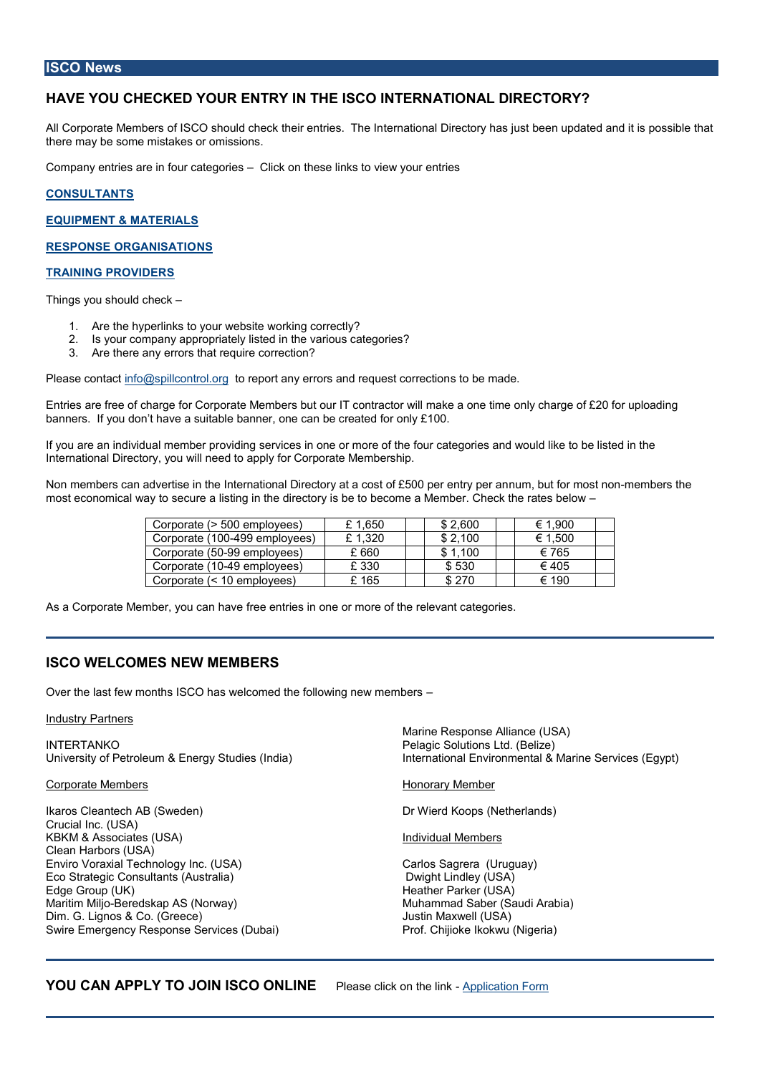### ISCO News

# HAVE YOU CHECKED YOUR ENTRY IN THE ISCO INTERNATIONAL DIRE

All Corporate Moefmi**SeGros**ould check their entterineastionTahle Dimrectorby eke ansujpudsatteitd ias npdossible th there may be some mistakes or omissions.

Company entries are in fouCldakegoribese links to view your entries

[CONSULTA](http://www.spillcontrol.org/Joomla/index.php?option=com_content&task=view&id=66&Itemid=106)NTS

EQUIPMENT & MASERIAL

RESPONSE ORGANNSATIO

### [TRAINING PROV](http://www.spillcontrol.org/Joomla/index.php?option=com_content&task=view&id=37&Itemid=102)IDERS

Things you should check

- 1. Are the hyperlinks to yourukring up beit early?
- 2. Is your company appropriately listed in the various categories?
- 3. Are there any errors that require correction?

Please contacc@spillconttolreport any errors and request correction

Entries are free of charge for Corporate Members but our IT contractor will make a one banners. If you don t have a suitable banner, one can be created for only £100.

If you are an individuoavlidhiong beeerropirces in one or more of the four categories and would International Directory, you will need to apply for Corporate Membership.

Non members can advertise in the International Directory uam, a bouds to of mico5oOrtoib per entery per an interv most economical way a tbisstèncqurien the doive etoot obrey ciosme a Member. Check the rates below

| Corporate (> 500 eml          | £ 1,650 | \$2.60 | → 1.900  |
|-------------------------------|---------|--------|----------|
| Corporate-4(9190 0e m p I o y | £ 1.320 | \$2,10 | $-1.500$ |
| Corporate995@mployee          | £ 660   | 1.10   | -765     |
| Corporate491@mployee          | £ 330   | \$ 530 | $-405$   |
| Corporate (< 10 empl          | £ 165   | \$270  | ¬ 190    |

As a Corporate Member, fyroewe ceantrineas ein one or more of the relevant categories.

# ISCO WELCOMES NEW MEMBERS

Over the last few months ISCO has welcomed the following new members

#### Industry Partners

| <b>INTERTANKO</b>                                  | Marine Response Alliance (USA)<br>Pelagic Solutions Ltd. (Belize)<br>University of Petroleum & Energy Studies (Indiear)national Environmental & Marine Servic |
|----------------------------------------------------|---------------------------------------------------------------------------------------------------------------------------------------------------------------|
| Corporate Member                                   | Honorary Member                                                                                                                                               |
| Ikaros Cleantech AB (Sweden)<br>Crucial Inc. (USA) | Dr Wierd Koops (Netherlands)                                                                                                                                  |
| KBKM & Associates (USA)<br>Clean Harbors (USA)     | Individual Members                                                                                                                                            |
| Enviro Voraxial Technology Inc. (USA)              | Carlos Sagrera (Uruguay)                                                                                                                                      |
| Eco Strategic Consultants (Australia)              | Dwght Lindley (USA)                                                                                                                                           |
| Edge Group (UK)                                    | Heather Parker (USA)                                                                                                                                          |

Maritim  $\overline{\mathbf{w}}$  eljedskap AS (Norway) Dim. G. Lignos & Co. (Greece) Swire Emergency Response Services (Dubai) Prof. Chijioke Ikokwu (Nigeria) Muhammad Saber (Saudi Arabia) Justin Maxwell (USA)

YOU CAN APPLY TO JOIN IS GO and blink the on [Applicatio](http://www.spillcontrol.org/Joomla/index.php?option=com_content&task=view&id=21&Itemid=35)n Form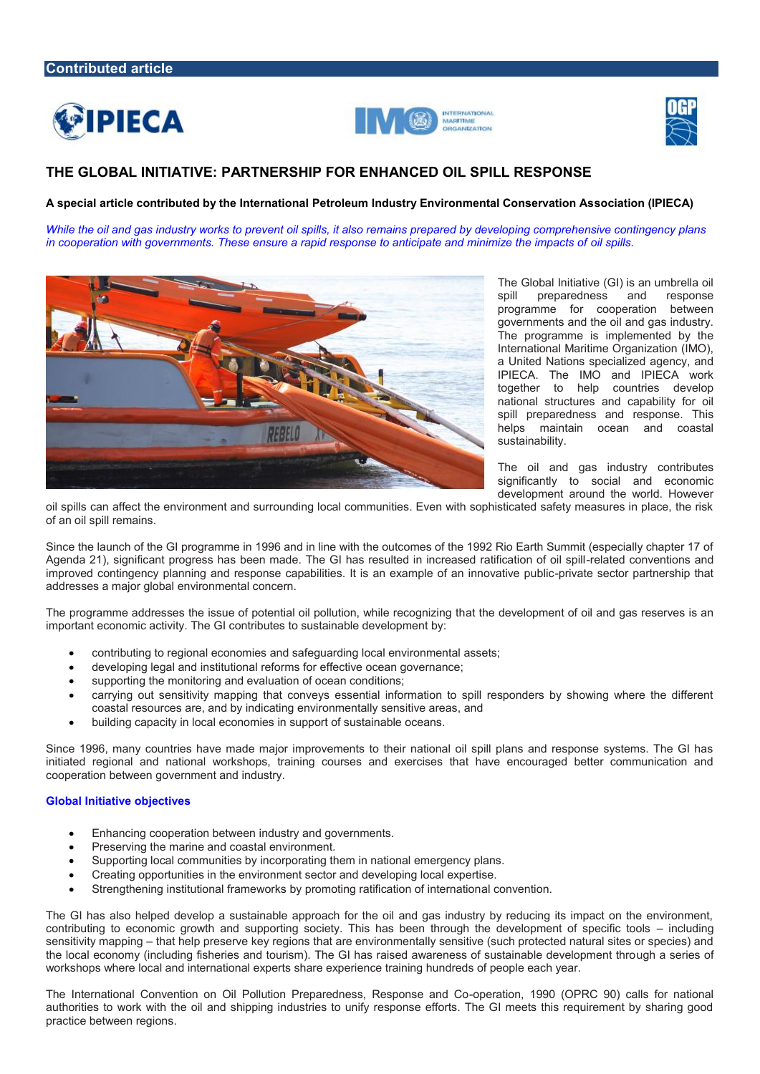





# **THE GLOBAL INITIATIVE: PARTNERSHIP FOR ENHANCED OIL SPILL RESPONSE**

**A special article contributed by the International Petroleum Industry Environmental Conservation Association (IPIECA)**

*While the oil and gas industry works to prevent oil spills, it also remains prepared by developing comprehensive contingency plans in cooperation with governments. These ensure a rapid response to anticipate and minimize the impacts of oil spills.*



The Global Initiative (GI) is an umbrella oil spill preparedness and response programme for cooperation between governments and the oil and gas industry. The programme is implemented by the International Maritime Organization (IMO), a United Nations specialized agency, and IPIECA. The IMO and IPIECA work together to help countries develop national structures and capability for oil spill preparedness and response. This helps maintain ocean and coastal sustainability.

The oil and gas industry contributes significantly to social and economic development around the world. However

oil spills can affect the environment and surrounding local communities. Even with sophisticated safety measures in place, the risk of an oil spill remains.

Since the launch of the GI programme in 1996 and in line with the outcomes of the 1992 Rio Earth Summit (especially chapter 17 of Agenda 21), significant progress has been made. The GI has resulted in increased ratification of oil spill-related conventions and improved contingency planning and response capabilities. It is an example of an innovative public-private sector partnership that addresses a major global environmental concern.

The programme addresses the issue of potential oil pollution, while recognizing that the development of oil and gas reserves is an important economic activity. The GI contributes to sustainable development by:

- contributing to regional economies and safeguarding local environmental assets;
- developing legal and institutional reforms for effective ocean governance;
- supporting the monitoring and evaluation of ocean conditions;
- carrying out sensitivity mapping that conveys essential information to spill responders by showing where the different coastal resources are, and by indicating environmentally sensitive areas, and
- building capacity in local economies in support of sustainable oceans.

Since 1996, many countries have made major improvements to their national oil spill plans and response systems. The GI has initiated regional and national workshops, training courses and exercises that have encouraged better communication and cooperation between government and industry.

### **Global Initiative objectives**

- Enhancing cooperation between industry and governments.
- Preserving the marine and coastal environment.
- Supporting local communities by incorporating them in national emergency plans.
- Creating opportunities in the environment sector and developing local expertise.
- Strengthening institutional frameworks by promoting ratification of international convention.

The GI has also helped develop a sustainable approach for the oil and gas industry by reducing its impact on the environment, contributing to economic growth and supporting society. This has been through the development of specific tools – including sensitivity mapping – that help preserve key regions that are environmentally sensitive (such protected natural sites or species) and the local economy (including fisheries and tourism). The GI has raised awareness of sustainable development through a series of workshops where local and international experts share experience training hundreds of people each year.

The International Convention on Oil Pollution Preparedness, Response and Co-operation, 1990 (OPRC 90) calls for national authorities to work with the oil and shipping industries to unify response efforts. The GI meets this requirement by sharing good practice between regions.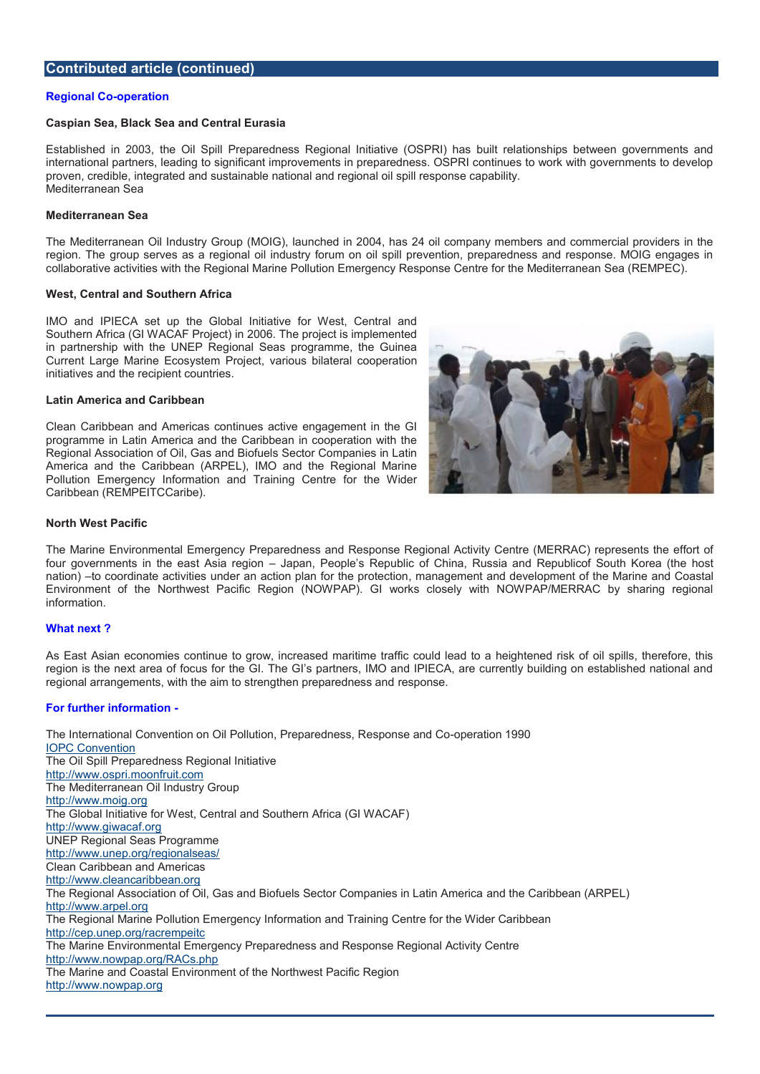# Contributed article (continued)

#### Regional - operation

Caspian Sea, Black Sea and Central Eurasia

Establishe 2006, the Oil Spill Preparedness Regional Initiative (OSPRI) has built rel international partners, leading to significant improvements in preparedness. OSPRI co proven, crednibele rated and sustainable national and regional oil spill response capability Mediterranean Sea

Mediterranean Sea

The Mediterranean Oil Industry Group (MOIG), launched in 2004, has 24 oil company region.  $\overline{g}$  the up serves as a regional oil industry forum on oil spill prevention, prepare collaborative activiniegionith Marine Pollution Emergency Response Centre for the Medi

West, CentraScauntchern Africa

IMO and IPIECA set up the Global Initiative for West, Central and Southern Africa (GI WACAF Project) in 2006. The project is implemented in partnership with the UNEP Regional Seas programme, the Guinea Current Large Marine Ecocosystam oleso bilateral cooperation initiatives and the recipient countries.

Latin America and Caribbean

Clean Caribbean and Americas continues active engagement in the GI programme in Latin America and the Caribbean in cooperation with the Regional Assion of Oil, Gas and Biofuels Sector Companies in Latin America and the Caribbean (ARPEL), IMO and the Regional Marine Pollution Emergency Information and Training Centre for the Wider Caribbean (REMPEITCCaribe).

North West Pacific

The Marine Enwitad nemeergency Preparedness and Response Regional Activity Centre (M four governments in the east apeain, region the s Republic of China, Russia and Republic nation to coordinate aught diventions action plan for, the hange of the protection and development of the Mari Environment of the Northwest Pacific Region (NOWPAP). GI works closely with NO information.

#### What next ?

As East Asian ecommotimaties to grow, increased maritime traffic could lead to a heighten region is the next area of focus for the GI. The GI s partners, IMO and IPIECA, are c regional arrantge weeth the aim to strengthen perseppear seedness and

### For further information

The International Convention on Oil Polels phicoms eParencharge readtrice as s19F90 [IOPC Conv](http://www.imo.org/about/conventions/listofconventions/pages/international-convention-on-oil-pollution-preparedness,-response-and-co-operation-(oprc).aspx)ention The Oil Spplar Pedness Regional Initiative [http://www.ospri.mo](http://www.ospri.moonfruit.com/)onfruit.com The Meterraneithn Colustry Group [http://www.m](http://www.moig.org/)oig.org The Global Initiative for West, CentraGh MUASS Aufthern Africa [http://www.giw](http://www.giwacaf.org/)acaf.org UNEP Regional Seas Programme [http://www.unep.org/](http://www.unep.org/regionalseas/)regionalseas/ Clean Caribbean and Americas [http://www.cleanca](http://www.cleancaribbean.org/)ribbean.org The Regional Association of Oil, Gas and Biofuels Secand ChompCanibbeanLaARhPEmberica [http://www.a](http://www.arpel.org/)rpel.org The Regional Marine Pollution Emergency Information and Training Centre for the Wide http://cep.unepe.mo.pge/irtaccr The Marine Environmental Emergency Preparedness and Response Regional Activity Ce [http://www.nowpap.or](http://www.nowpap.org/RACs.php)g/RACs.php The Marine and Coastal Environment of the Northwest Pacific Region [http://www.now](http://www.nowpap.org/)pap.org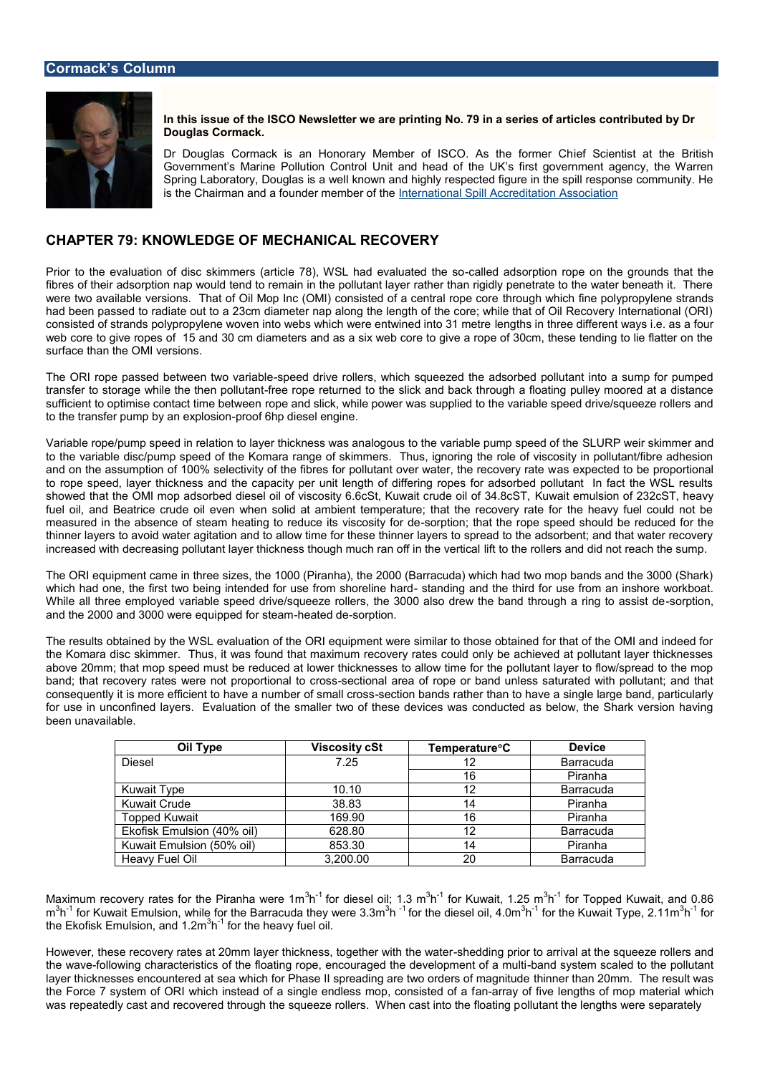In this issue of the ISCO Newshethogo N De a speries of articles contributed Douglas Cormack.

Dr Douglas Cormack is an Honorary Member of ibs CSD cientaisthe at forthmeer B Government s Marine Pollution Control Unit and head of the UK s first Spring Laboratory, Douglas is a well known and highly respected figure is the Chairman foaumdder member te fntahte onal Spill Accreditation Association

# CHAPTER KSNOWLEDGE EOOFHANICAL RECOVERY

Prior to the evaluation of disc skimmers (article 7-8), INeWdS Ladhsaoodrpoophoean lounattehde ton neo usnods th fibres of their adsorption nap would tend to remain in the pollutant layer rather than r were two available versions. That of Oil Mop Inc (OMI) tharoung instrollion faince noto by proppeyle had been passed to radiate out to a 23cm diameter nap along the length of the core; v consisted of strands polypropylene woven into webs whieh gwheseinenthweered if het be 811 wheeyts e web core to give ropes of 15 and 30 cm diameters and as a six web core to give a rop surface than the OMI versions.

The ORI rope passed betwees pet wariable into let ers, which squeezed the adsorbed pollutant transfer to storage while the eth coppollutuanted to the slick and back through a floating sufficient to optimise contact time between while power was supplied to the variable speed of the state roller to the transfer pump by panot xophip solo ensel engine.

Variable rope/pump speed in relation to layer thickness was analo**gbus Powtchie sarmanbee** to the variable disc/pump speed of the Komara range of skimmers. Thus, ignoring the and on the assumption of 100% selectivity of the fibres for poalsuiteaxpote oveed twaatbeer, priolope or to rope speed, layer thickness and the capacity per unit length of differing ropes for showed that the OMI mop adsorbed diesel oil of viscosity 6KGuowSati,t Keunwuaistioon uodfe2Gi2IcSGT fuel oil, and Beatrice crude oil even when solid at ambient temperature; that the red measured in the absence of steam heating to-sroedputcion; that that the rope of the reduced for the reduced for the reduced for the roupe of the reduced for the should be reduced for the should be reduced for the should b thinner layers to avoid water agitation and to allow time for these thinner layers to sp increased with decreasing pollutant layer thickness thou gtho mhue horlaers fand the wettreal

The ORI equipment came in three sizes, the 1000 (Piranha), the 2000 (Barracuda) whic which had one, the first two being intended foortaunsobeaning bruhe htchrier blinfoor has obthird and inshore While all three employed variable speed drive/squeeze rollers, the 3000 alsord team, the and the 2000 and 3000 were equenaped soberp tsitenam

The reswhtsained by the WSL evaluation of the ORI equipment were similar to those obtained for the OMI and indeed for the ORI and indeed for the Second the Komara disc skimmer. Thus, it was found that maximum recovery rates could only above 20mm at mop speed must be reduced at lower thicknesses to allow time for the p band; that recovery rates were not peopioontiad naanle ao odrospe or band unless saturated w consequiley it is more efficient to have a resumbrien obfand mesulflather ssthan to have a single large band, p for use in unconfined layers. Evaluation of the smaller two of these devices was cor bee unavailable.

| Oil Type             | Viscosity cS | Tempera <b>ð C</b> re | Device           |
|----------------------|--------------|-----------------------|------------------|
| Diesel               | 7.25         | 12                    | <b>Barracuda</b> |
|                      |              | 16                    | Piranha          |
| Kuwait Type          | 10.10        | 12                    | <b>Barracuda</b> |
| Kuwait Crude         | 38.83        | 14                    | Piranha          |
| Topped Kuwait        | 169.90       | 16                    | Piranha          |
| Ekofisk Emulsion (4) | 628.80       | 12                    | <b>Barracuda</b> |
| Kuwaimh Elsion (50%  | 853.30       | 14                    | Piranha          |
| Heavy Fuel Oil       | 3, 200.00    | 20                    | <b>Barracuda</b> |

Maximum recovery rates for the  $3h^2$  foandhiae sweelre i $3h$   $\ln h$  foar Khuwait,  $3h^1$   $25$  rmTopped Kuwait, and  $\rm m^3h^1$  for Kuwait Emulsion, wahribe of da thine yB w $^3$ ehi<sup>1</sup>efo $\rm 3.3\,km$ e diesel $^3$ bilfo4.0m e Kuwait T $\rm \sqrt[3]{}$ pefo2.11m the Ekofisk Emulsio $\partial h$ <sup>1</sup>, and the meavy fuel oil.

However, these recovery rates at 20mm layer thicks the esosiding gpentiho wat the thing is quantere rollers and the squanters and the squanters and the squanters and the squanters and the squanters and the squanters and th the wafvoellowing characteristics of the floating rope, encourbaagnedd styreted new scaaphende niol othea poll layer thicknesses encountered at sea which for Phase II spreadmineg arent 20 monder Tshefren the Force 7 system of ORI which instead of a singleameanrodaleyssofmfovog coomgsti**ns a**set**e**of froman locapow hich was repeatedly cast and recovered through the squeeze rodleutsantWthmenlengthish twethees felp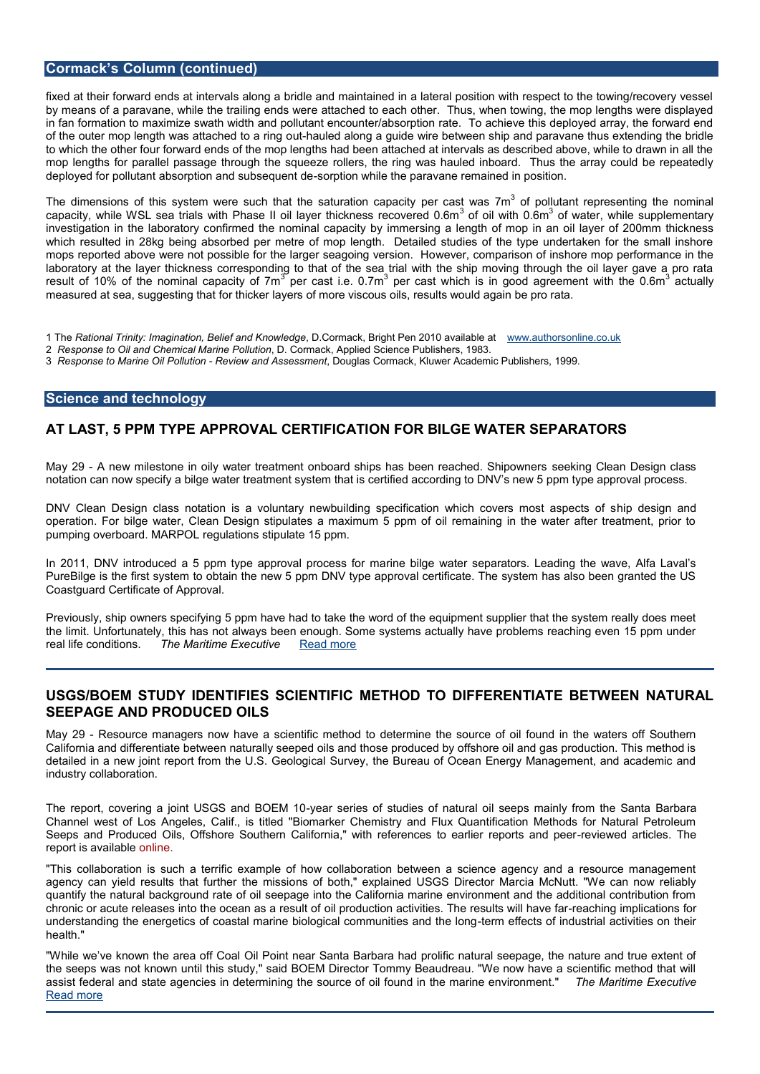# Cormack s Col(umuntinued)

fixed at their forward ends at intervals along a bridle and maintained in a lateral posi by means of a paravane, while the eattraid hread the odesa whe rother. Thus, when towing, the mop in fan formation to maximize swath width and pollutant encounter/absorption rate. To of the outer mop length was a utthabut ded to a ring mang opuide wire between ship and paravane thus extending the bridle to which the other four forward ends of the mop lengths had been attached at intervals mop lengths for parallel parses as grand the zeugon there is, the ring was hauled inboard. Thus the deployed for pollutant absorption sound team behavior the paravane remained in position.

The dimensions of this system were such thaptetrhee assatt wrand of a product and the presenting the  $\blacksquare$ capacity, while WSL sea trials with Phase II oil låyoefrotihiowkinness an anderentallone.Gsmupplem investigation in the laboratory confirmed the sninognian allencgantha coiffy mobyo iinm masenroil layer of 2 which resulted in 28kg being absorbed per metre of mop length. Detailed studies of mops reported above were not possible for the weergeer, sceangopainigs ovne rosficinnsholl nce mop perf laboratory at the layer thickness corresponding to that of the sea trial with the ship result of 10% of the nomina<sup>3</sup> peopacaisty ione 70m awhich is in good agreement awtumalthe measured at sea, suggesting that for thicker layers of more viscous oils, results would

1 ThReational Trinity: Imagination, BelDefCroadkK, rBorwighedgPeen 2010 <u>waw awilambthe oat onl</u>ine.co.uk 2 Response to Oil and Chemical, MarCroemPacdkutAppplied Science Publishers, 1983. 3 Response to Marine GiRePvoelmuda Assessm De ouglas Cormack, Kluwer Academic Publishers, 1999.

### Science and technology

### AT LAST, 5 PPMAFTYPROVAL CERTIOFNICFAOTR BILGE WEATTER ASTORS

May 29 new milestone in oily water treatment onboard ships she askibuge Glean c Desig Shich a notation can now specify a bilge water treatment system that is certified according to

DNV Clean Design class notation is a voluntary newbuilding specifilmciaption brownich notov operation. For bilge water, Clean Design stipulates a maximum 5 ppm of oil remainin pumping overboard. MARPOL regulations stipulate 15 ppm.

In 2011, DNV introduced a 5 ppm type apipmeovbaillgperowcaetses fsoerpannaators. Leading the wave, PureBilge is the first system to obtain the new 5 ppm DNV type approval certificate. T Coastguard Certificate of Approval.

Previously, ship owners specifying 5 ppm have had to take the word of the equipment supplier that the system really does meet the limit. Unfortunately, this has not always been enough. Some systems actually have real life conditions. Maritime at Exercad more

# USGS/BOEM STUDTM FILLE ESN SCIENTIFFHIODME O DIFFERE NSTEITAWIE EN NATURAL SEEPAGE AND PRODULCSED

May 2-Resource managers now have a scientific method to determine the source of o California and differentiate between naturally seeped oils and those produced by offsh detailed in a new joint report from the U.S. Geological Survey, the Bureau of Ocean E industry collaboration.

The report, covering a joint US-G6Sa ansder BoEM if 1sotudies of natural oil seep Bs ann baaindy from Channel west of Los Angeles, Calif., is titled "Biomarker Chemistry and Flux Quanti Seeps and Produced Oils, Offshore Southern California," with reterieweeds ato tielaerslie The reprt is avaolralbine

"This collaboration is such a terrific example of how collaboration between a scienc agency can yield results that mistrohe botthe " meissioned USGS Director Marcia McNutt. quantify the natural background rate of oil seepage into the California marine environ  $\overline{\text{c}}$  hronic or acute releases into the coid eparnodausc taion need and this oiffies. The -reaconhtish gwill the phlaiovae tifoannis f understanding the energetics of coastal marine biologeicmalecfolencmisum itiens and the leaboth gitie health."

"While we ve known the Quile & coinfit Choeaalr Santa Barbara had prolific natural seepage, the the seeps was not known until this study," said BOEM Director Tommy Beaudreau. "We assist federal and state agencogetsheins **dete** emoin oil found in the mathione Moan intimo on mExecutive [Read m](http://www.maritime-executive.com/article/usgs-boem-study-identifies-scientific-method-to-differentiate-between-natural-seepage-and-produced-oils)ore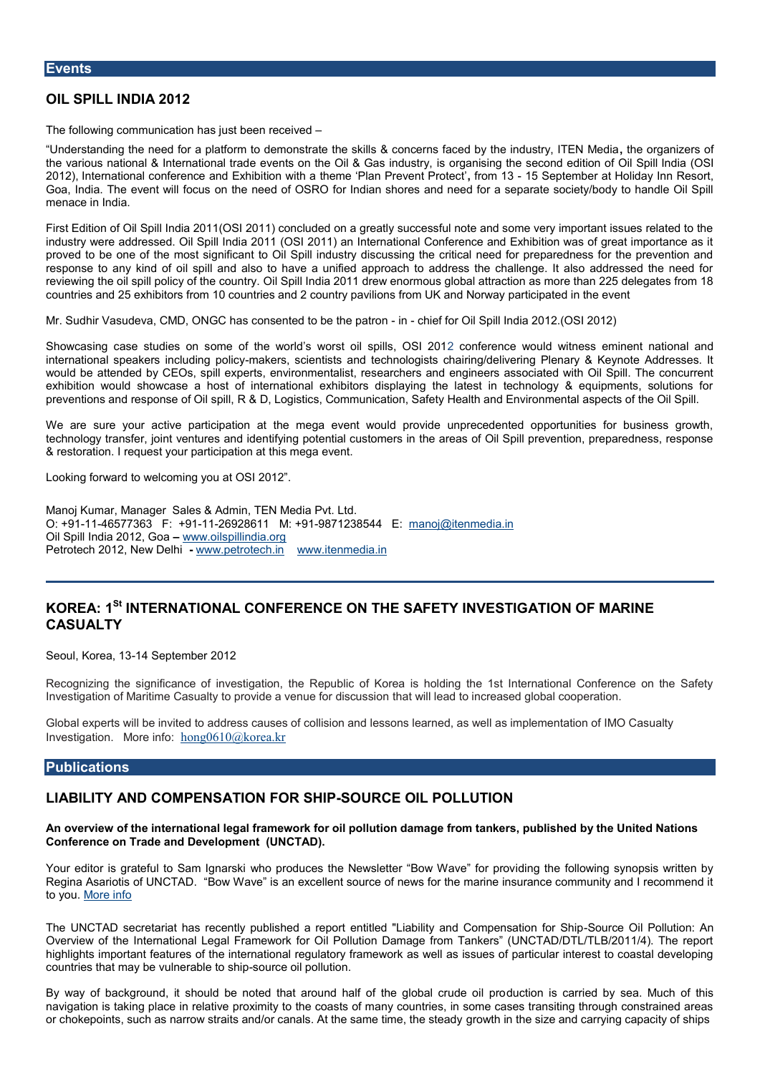### OIL SPILL INDIA 2012

The following communansigalsitoloeen received

Understanding the need for a platform to demonstrate the skills & contcheernos granciezde rosy the various national & Indeewentitos on the ed Oil & Gas rignathuisstimy the second edition and Spill Oil 2012), International conference and Exhibition with a throwme4 3P5 asse Bremobnetr Parto Hoodiday Inn Resort B Goa, India. The evend nwill be focused of OSRO for Indian shores and need for a separate s menace in India.

First Edition of Oil Spill India 2011(OSI 2011) concluded on a greatly successful note industry ew addressed. Oil Spill India 2011 (OSI 2011) an International Conference and proved to be one of the most significant to Oil Spill industry discussing the critical need for prepared for press for the press for the press for the press for the press for the press for the press for the prevention and respose to any kind of oil spill and also to have a unified approach to address the c reviewing the oil spill poli@yilo\$pthe lonoduint 2y0.11 drew enormous global attraction as more countries and 25 exhibitors from 10 countries and 2 country pavilions from UK and Nor

Mr. Sudhir Vasudeva, ChMaB, connisse Cated to be it mine haine from Oil Spill India 2012. (OSI 2012)

Showcasing case st**ochies of onthe world s** worst oil spondifiere the 201 2 would witness eminent international speakers immcaukdeimsg poliemytists and technologists chairing/delivering Plen would be attended by CpEeOD ts, sepriblire on mentalist, researchers and engineers associated exhibition would showcase a host of international exhibitors displaying the latest i preventions and respons **& & fDO** il commistics, Communication, Safety Health and Environmental aspects of the Oil Spiller

We are sure your active participation at the mega event would provide unpreceder technology transfer, joint vtein tures aned it to all customers in the areas of Oil Spill prevention, prevention, prevention, prevention, press, response, response, response, response, response, response, response, respons & restoraltimenquecosutry participathiosh matega event.

Looking frodrwice welcoming you at OSI 2012.

Manoj Ku**man**ageSrales & Admin Media Put. Lt  $O: +91146577363 + 9112692861$ Mi:  $+991871238544$  manoj@itenmedia.in Oil Spill India 2012, Goa [www.oilspilli](http://www.oilspillindia.com/)ndia.org Petrotech 2012, N-ewww.Dolephetrotech.itenmedia.in

# KOREA<sup>St</sup> INTERNATIONAL CONFERENCE ON THE SAFETY INVESTIGATIO CASUALTY

Seoul, Korela4, S&ptember 2012

Recognizing quie a sice of investigation, the Republic of Korea is holding the 1st International Conference on the Safety Investigation of Maritime Casualty to providhea ta wieln lue a dotodiscus as end global cooperation

Global experts will to ead rod research causes of collision and lessons learned, as well as implementation of I Investigation hore horog0610@korea.kr

### Publications

### LIABILITY AND CSOAMTRON FOR-SSOHURCE OIL POLLUTION

An overview of the international legal framework for oil pollution damage from tankers, Conference on Trade and Development (UNCTAD).

Your editor is grateful tow hScamp rbgdnuacresski the Newsletter Boionhin Wg atwhee ffoolrlopwrion vg synopsis Regina Asariotis of UNCWTANDave is an excellent source of news for the marine insurance to yo[More i](http://www.wavyline.com/bowwave.php)nfo

The UNCTAD seactrehtaas recently published a report entitled "Liabi-Sobyuracned O GbmPpoelnustaion Overview of the International Legal Framework for Oil Pollution Damage from Tanker highlights importes ant fetate uninternational regulatory framework as well as issues of part countries that may be vulseus be been ship tion.

By way of background, it should be noted that around dhuadificonf itshecagrinoibe all boyrusdeea.oilMup navigation is taking place in relative proximity to the coasts of many countries, in sor or chokepoints, such as narrow straits and/or canalgroAwtthhien staenesitzieneandheeasteriandgy cap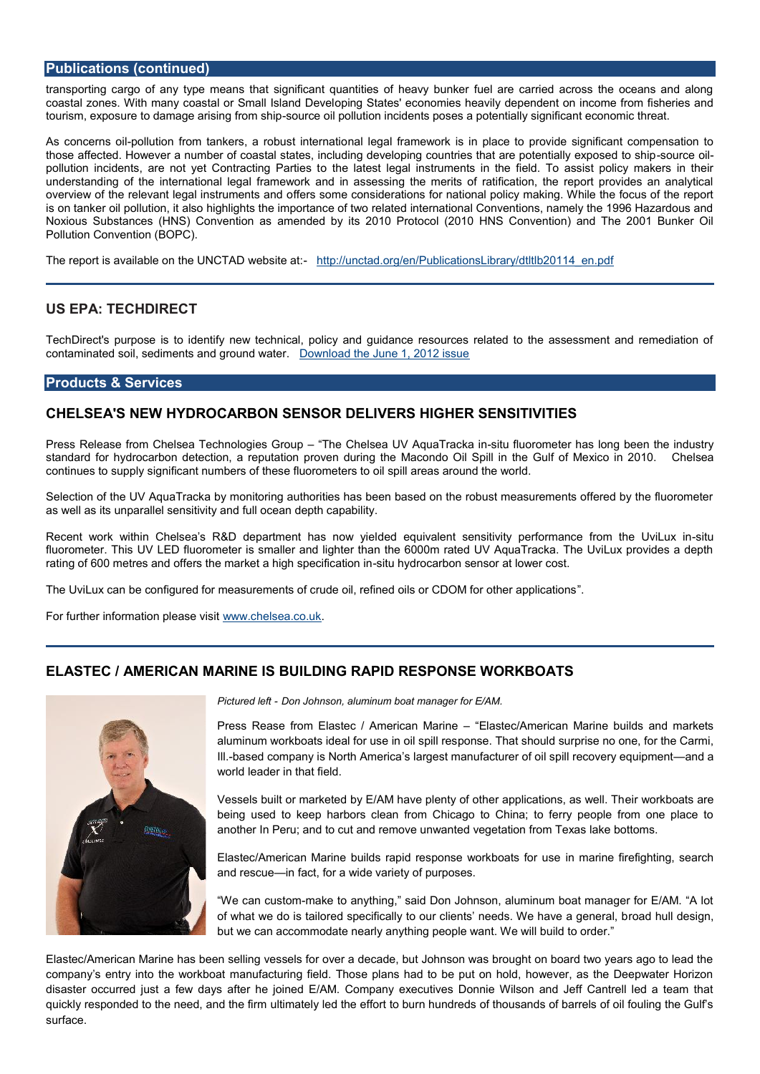# Publications (continued)

transporting cargo of any type means that significant quantities of heavy bunker fue coastal zones. With many coastal orrp Smaga Bitastean de @oenvoerhies heavily dependent on inco tourism, exposure to damage anousrioneg of lo poos lluitpion incidents poses a potentially signific

As concernpsololuition from tankers, a noabluisetgianttelinamateiwork is in place to provide signif those affected. However a number of coastal states, including developing sounterexsilth pollution incidents, are not yet Coonteadatres t Plærgad sintstruments in the field. To assis understanding of the international legal framework and in assessing the merits of ra overview of the relevant legalffessrs on enets cansdde rations for national policy making. While the focus of the focus of the report is on tanker oil pollution, it also highlights the importance of two related international Noxious Substances (HNS) Caome redue to rby as its 2010 Protocol (2010 HNS Convention) and The 2001 Bunker Oil Pollution Convention (BOPC).

The report is available on the U-NICtT $\beta$ : D/wreddt said Eduato lierations Library/dtltlb20114\_en.pdf

# US EPA: TECHDIRECT

TechDirect's purpose is to identify new technical, policy and guidance resources rel contaminated soil, sediments a  $\mathbb{D}$  of vand the ateune 1, 2012 issue

### Products & Services

# CHELSEA'S NEW HYDROCARBON SENSOR DELIVERS HIGHER SENSITIV

Press Release from Chelsea Tech Thologihes Guize Lip AquaTtua of kuao the mome as long been the in standard for hydrocarbon detection, a reputation proven during the Macond Choels espil continues to supply significant numbers of these fluorometers to oil spill areas around

Selection of the UV AquaTracka by monitoring authorities has been based on the robus as well as its unparallel sensitivity and full ocean depth capability.

Recent work within Chelsea s R&D dep**eletche equilival se**nntowseyniseiltivity performanc<del>o</del>sitfurom fluorometer. This UV LED fluorometer is smaller and lighter than the 6000m rated UV rating of 600 metres and offers the mark settuah by dg to csaprebolinis a histom inat lower cost.

The UviLux can be configured for measurements of crude oil, refined oils or CDOM for

For further information woweasels estited.uk

# ELASTE CAMERICAN MARINE IS FRAURILDDIRNESS POWNOSPEK BOATS

Pictured Deofit Johnson, aluminum boat manager for E/AM.

Press Rease from Elastec / Am**Eracaec Mammenrecan Marine builds a**nd markets aluminum workboats ideal for puosnes  $\overline{\mathbf{e}}$ th aotils bould resurprise no one, for Illbased company is North America s largest manufacture rand cail spill world leader in that field.

Vessels built or marketed by E/AM have plenty of coith work appliate at an being used to keep harbors clean from Chicago to China; to fer another In Peru; and to cut and remove unwanted vegetation from

Elastec/American Marine builds rapid respionnsmeanwinder kolorating manus entertainment for manus of and rescume fact, for a wide variety of purposes.

We can cumstad to anything, said Don Johnson, aluminum boat m of what we do is tailored specifically to our clientrosade heudsd. down we have a general substant but we can accommodate nearly anything people want. We will bui

Elastec/American Marine has been selling vessels for over a decade, but Johnson was company s entry into the anwolat buorang field. Those plans had to be put on hold, however, disaster occurred just a few days after he joined E/AM. Company executives Donnie quickly responded to the needt, imacle the deform the effort to burn hundreds of thousands of l surface.